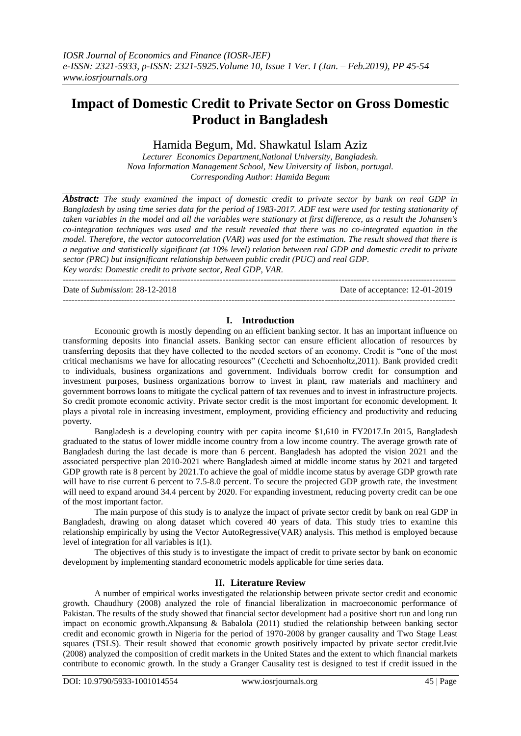# **Impact of Domestic Credit to Private Sector on Gross Domestic Product in Bangladesh**

# Hamida Begum, Md. Shawkatul Islam Aziz

*Lecturer Economics Department,National University, Bangladesh. Nova Information Management School, New University of lisbon, portugal. Corresponding Author: Hamida Begum*

*Abstract: The study examined the impact of domestic credit to private sector by bank on real GDP in Bangladesh by using time series data for the period of 1983-2017. ADF test were used for testing stationarity of taken variables in the model and all the variables were stationary at first difference, as a result the Johansen's co-integration techniques was used and the result revealed that there was no co-integrated equation in the model. Therefore, the vector autocorrelation (VAR) was used for the estimation. The result showed that there is a negative and statistically significant (at 10% level) relation between real GDP and domestic credit to private sector (PRC) but insignificant relationship between public credit (PUC) and real GDP.*

*Key words: Domestic credit to private sector, Real GDP, VAR.*

*---------------------------------------------------------------------------------------------------------------------------------------* Date of *Submission*: 28-12-2018 Date of acceptance: 12-01-2019 *---------------------------------------------------------------------------------------------------------------------------------------*

# **I. Introduction**

Economic growth is mostly depending on an efficient banking sector. It has an important influence on transforming deposits into financial assets. Banking sector can ensure efficient allocation of resources by transferring deposits that they have collected to the needed sectors of an economy. Credit is "one of the most critical mechanisms we have for allocating resources" (Cecchetti and Schoenholtz,2011). Bank provided credit to individuals, business organizations and government. Individuals borrow credit for consumption and investment purposes, business organizations borrow to invest in plant, raw materials and machinery and government borrows loans to mitigate the cyclical pattern of tax revenues and to invest in infrastructure projects. So credit promote economic activity. Private sector credit is the most important for economic development. It plays a pivotal role in increasing investment, employment, providing efficiency and productivity and reducing poverty.

Bangladesh is a developing country with per capita income \$1,610 in FY2017.In 2015, Bangladesh graduated to the status of lower middle income country from a low income country. The average growth rate of Bangladesh during the last decade is more than 6 percent. Bangladesh has adopted the vision 2021 and the associated perspective plan 2010-2021 where Bangladesh aimed at middle income status by 2021 and targeted GDP growth rate is 8 percent by 2021. To achieve the goal of middle income status by average GDP growth rate will have to rise current 6 percent to 7.5-8.0 percent. To secure the projected GDP growth rate, the investment will need to expand around 34.4 percent by 2020. For expanding investment, reducing poverty credit can be one of the most important factor.

The main purpose of this study is to analyze the impact of private sector credit by bank on real GDP in Bangladesh, drawing on along dataset which covered 40 years of data. This study tries to examine this relationship empirically by using the Vector AutoRegressive(VAR) analysis. This method is employed because level of integration for all variables is I(1).

The objectives of this study is to investigate the impact of credit to private sector by bank on economic development by implementing standard econometric models applicable for time series data.

# **II. Literature Review**

A number of empirical works investigated the relationship between private sector credit and economic growth. Chaudhury (2008) analyzed the role of financial liberalization in macroeconomic performance of Pakistan. The results of the study showed that financial sector development had a positive short run and long run impact on economic growth.Akpansung & Babalola (2011) studied the relationship between banking sector credit and economic growth in Nigeria for the period of 1970-2008 by granger causality and Two Stage Least squares (TSLS). Their result showed that economic growth positively impacted by private sector credit.Ivie (2008) analyzed the composition of credit markets in the United States and the extent to which financial markets contribute to economic growth. In the study a Granger Causality test is designed to test if credit issued in the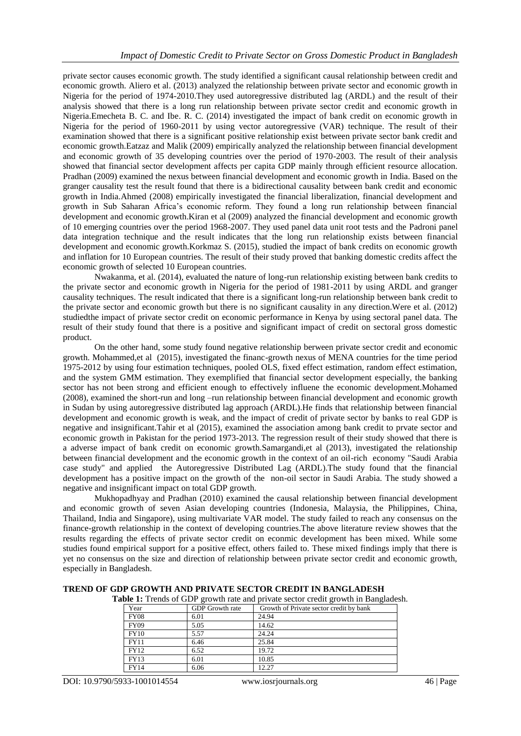private sector causes economic growth. The study identified a significant causal relationship between credit and economic growth. Aliero et al. (2013) analyzed the relationship between private sector and economic growth in Nigeria for the period of 1974-2010.They used autoregressive distributed lag (ARDL) and the result of their analysis showed that there is a long run relationship between private sector credit and economic growth in Nigeria.Emecheta B. C. and Ibe. R. C. (2014) investigated the impact of bank credit on economic growth in Nigeria for the period of 1960-2011 by using vector autoregressive (VAR) technique. The result of their examination showed that there is a significant positive relationship exist between private sector bank credit and economic growth.Eatzaz and Malik (2009) empirically analyzed the relationship between financial development and economic growth of 35 developing countries over the period of 1970-2003. The result of their analysis showed that financial sector development affects per capita GDP mainly through efficient resource allocation. Pradhan (2009) examined the nexus between financial development and economic growth in India. Based on the granger causality test the result found that there is a bidirectional causality between bank credit and economic growth in India.Ahmed (2008) empirically investigated the financial liberalization, financial development and growth in Sub Saharan Africa's economic reform. They found a long run relationship between financial development and economic growth.Kiran et al (2009) analyzed the financial development and economic growth of 10 emerging countries over the period 1968-2007. They used panel data unit root tests and the Padroni panel data integration technique and the result indicates that the long run relationship exists between financial development and economic growth.Korkmaz S. (2015), studied the impact of bank credits on economic growth and inflation for 10 European countries. The result of their study proved that banking domestic credits affect the economic growth of selected 10 European countries.

Nwakanma, et al. (2014), evaluated the nature of long-run relationship existing between bank credits to the private sector and economic growth in Nigeria for the period of 1981-2011 by using ARDL and granger causality techniques. The result indicated that there is a significant long-run relationship between bank credit to the private sector and economic growth but there is no significant causality in any direction.Were et al. (2012) studiedthe impact of private sector credit on economic performance in Kenya by using sectoral panel data. The result of their study found that there is a positive and significant impact of credit on sectoral gross domestic product.

On the other hand, some study found negative relationship berween private sector credit and economic growth. Mohammed,et al (2015), investigated the financ-growth nexus of MENA countries for the time period 1975-2012 by using four estimation techniques, pooled OLS, fixed effect estimation, random effect estimation, and the system GMM estimation. They exemplified that financial sector development especially, the banking sector has not been strong and efficient enough to effectively influene the economic development.Mohamed (2008), examined the short-run and long –run relationship between financial development and economic growth in Sudan by using autoregressive distributed lag approach (ARDL).He finds that relationship between financial development and economic growth is weak, and the impact of credit of private sector by banks to real GDP is negative and insignificant.Tahir et al (2015), examined the association among bank credit to prvate sector and economic growth in Pakistan for the period 1973-2013. The regression result of their study showed that there is a adverse impact of bank credit on economic growth.Samargandi,et al (2013), investigated the relationship between financial development and the economic growth in the context of an oil-rich economy "Saudi Arabia case study" and applied the Autoregressive Distributed Lag (ARDL).The study found that the financial development has a positive impact on the growth of the non-oil sector in Saudi Arabia. The study showed a negative and insignificant impact on total GDP growth.

Mukhopadhyay and Pradhan (2010) examined the causal relationship between financial development and economic growth of seven Asian developing countries (Indonesia, Malaysia, the Philippines, China, Thailand, India and Singapore), using multivariate VAR model. The study failed to reach any consensus on the finance-growth relationship in the context of developing countries.The above literature review showes that the results regarding the effects of private sector credit on econmic development has been mixed. While some studies found empirical support for a positive effect, others failed to. These mixed findings imply that there is yet no consensus on the size and direction of relationship between private sector credit and economic growth, especially in Bangladesh.

| <b>Table 1:</b> Trends of GDP growth rate and private sector credit growth in Bangladesh. |                 |                                         |  |  |  |  |
|-------------------------------------------------------------------------------------------|-----------------|-----------------------------------------|--|--|--|--|
| Year                                                                                      | GDP Growth rate | Growth of Private sector credit by bank |  |  |  |  |
| <b>FY08</b>                                                                               | 6.01            | 24.94                                   |  |  |  |  |
| <b>FY09</b>                                                                               | 5.05            | 14.62                                   |  |  |  |  |
| <b>FY10</b>                                                                               | 5.57            | 24.24                                   |  |  |  |  |
| <b>FY11</b>                                                                               | 6.46            | 25.84                                   |  |  |  |  |
| <b>FY12</b>                                                                               | 6.52            | 19.72                                   |  |  |  |  |
| <b>FY13</b>                                                                               | 6.01            | 10.85                                   |  |  |  |  |
| <b>FY14</b>                                                                               | 6.06            | 12.27                                   |  |  |  |  |

**TREND OF GDP GROWTH AND PRIVATE SECTOR CREDIT IN BANGLADESH**

DOI: 10.9790/5933-1001014554 www.iosrjournals.org 46 | Page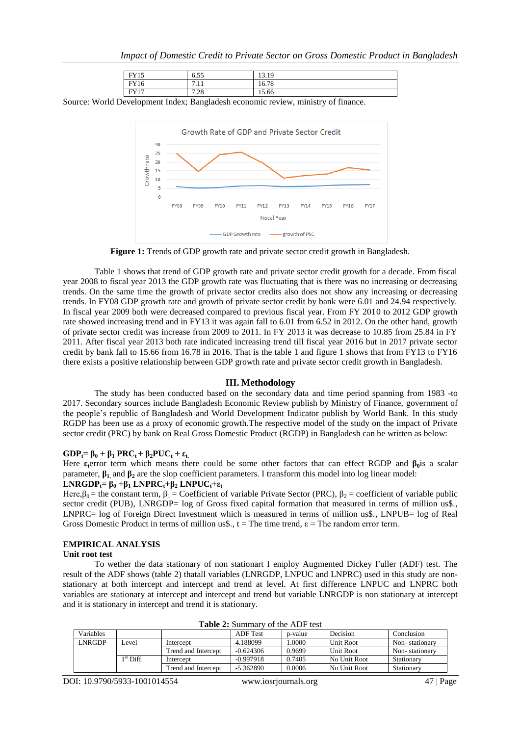| EVI5<br>'I LJ | $-$<br>0.33     | $\sim$<br>1 <sub>q</sub><br>19.12 |
|---------------|-----------------|-----------------------------------|
| EVI6<br>Y 16  | -4. 4<br>-<br>. | 16.78                             |
| EVI7          | 7.28            | 15.66                             |

Source: World Development Index; Bangladesh economic review, ministry of finance.



**Figure 1:** Trends of GDP growth rate and private sector credit growth in Bangladesh.

Table 1 shows that trend of GDP growth rate and private sector credit growth for a decade. From fiscal year 2008 to fiscal year 2013 the GDP growth rate was fluctuating that is there was no increasing or decreasing trends. On the same time the growth of private sector credits also does not show any increasing or decreasing trends. In FY08 GDP growth rate and growth of private sector credit by bank were 6.01 and 24.94 respectively. In fiscal year 2009 both were decreased compared to previous fiscal year. From FY 2010 to 2012 GDP growth rate showed increasing trend and in FY13 it was again fall to 6.01 from 6.52 in 2012. On the other hand, growth of private sector credit was increase from 2009 to 2011. In FY 2013 it was decrease to 10.85 from 25.84 in FY 2011. After fiscal year 2013 both rate indicated increasing trend till fiscal year 2016 but in 2017 private sector credit by bank fall to 15.66 from 16.78 in 2016. That is the table 1 and figure 1 shows that from FY13 to FY16 there exists a positive relationship between GDP growth rate and private sector credit growth in Bangladesh.

#### **III. Methodology**

The study has been conducted based on the secondary data and time period spanning from 1983 -to 2017. Secondary sources include Bangladesh Economic Review publish by Ministry of Finance, government of the people's republic of Bangladesh and World Development Indicator publish by World Bank. In this study RGDP has been use as a proxy of economic growth.The respective model of the study on the impact of Private sector credit (PRC) by bank on Real Gross Domestic Product (RGDP) in Bangladesh can be written as below:

### $GDP_t = \beta_0 + \beta_1 PRC_t + \beta_2 PUC_t + \varepsilon_t$ .

Here **ε**<sub>**ε**</sub>error term which means there could be some other factors that can effect RGDP and  $\beta_0$ is a scalar parameter, **β1**, and **β<sup>2</sup>** are the slop coefficient parameters. I transform this model into log linear model:

# **LNRGDP**<sub>t</sub>**=**  $\beta_0$  **+** $\beta_1$  **LNPRC**<sub>t</sub>**+** $\beta_2$  **LNPUC**<sub>t</sub>**+ε**<sub>t</sub>

Here, $\beta_0$  = the constant term,  $\beta_1$  = Coefficient of variable Private Sector (PRC),  $\beta_2$  = coefficient of variable public sector credit (PUB), LNRGDP= log of Gross fixed capital formation that measured in terms of million us\$., LNPRC= log of Foreign Direct Investment which is measured in terms of million us\$., LNPUB= log of Real Gross Domestic Product in terms of million us\$.,  $t =$ The time trend,  $\varepsilon =$ The random error term.

# **EMPIRICAL ANALYSIS**

#### **Unit root test**

To wether the data stationary of non stationart I employ Augmented Dickey Fuller (ADF) test. The result of the ADF shows (table 2) thatall variables (LNRGDP, LNPUC and LNPRC) used in this study are nonstationary at both intercept and intercept and trend at level. At first difference LNPUC and LNPRC both variables are stationary at intercept and intercept and trend but variable LNRGDP is non stationary at intercept and it is stationary in intercept and trend it is stationary.

| Variables |             |                     | <b>ADF</b> Test | n-value | Decision     | Conclusion     |  |  |
|-----------|-------------|---------------------|-----------------|---------|--------------|----------------|--|--|
| LNRGDP    | evel        | Intercent           | 4.188099        | .0000   | Unit Root    | Non-stationary |  |  |
|           |             | Trend and Intercent | $-0.624306$     | 0.9699  | Unit Root    | Non-stationary |  |  |
|           | $1st$ Diff. | Intercent           | $-0.997918$     | 0.7405  | No Unit Root | Stationary     |  |  |
|           |             | Trend and Intercept | $-5.362890$     | 0.0006  | No Unit Root | Stationary     |  |  |

**Table 2:** Summary of the ADF test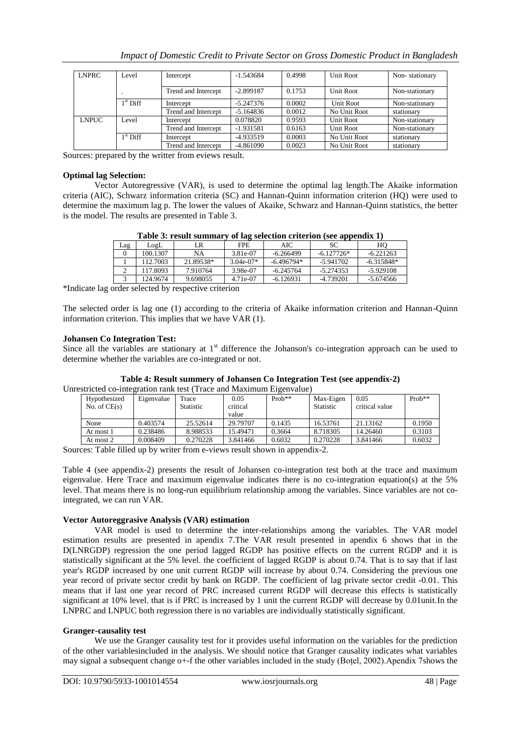| Impact of Domestic Credit to Private Sector on Gross Domestic Product in Bangladesh |  |
|-------------------------------------------------------------------------------------|--|
|                                                                                     |  |

| <b>LNPRC</b> | Level      | Intercept           | $-1.543684$ | 0.4998 | Unit Root    | Non-stationary |
|--------------|------------|---------------------|-------------|--------|--------------|----------------|
|              |            |                     |             |        |              |                |
|              |            |                     |             |        |              |                |
|              |            | Trend and Intercept | $-2.899187$ | 0.1753 | Unit Root    | Non-stationary |
|              |            |                     |             |        |              |                |
|              | $1st$ Diff | Intercept           | $-5.247376$ | 0.0002 | Unit Root    | Non-stationary |
|              |            |                     |             |        |              |                |
|              |            | Trend and Intercept | $-5.164836$ | 0.0012 | No Unit Root | stationary     |
| <b>LNPUC</b> | Level      | Intercept           | 0.078820    | 0.9593 | Unit Root    | Non-stationary |
|              |            |                     |             |        |              |                |
|              |            | Trend and Intercept | $-1.931581$ | 0.6163 | Unit Root    | Non-stationary |
|              | $1st$ Diff | Intercept           | $-4.933519$ | 0.0003 | No Unit Root | stationary     |
|              |            |                     |             |        |              |                |
|              |            | Trend and Intercept | $-4.861090$ | 0.0023 | No Unit Root | stationary     |

Sources: prepared by the writter from eviews result.

## **Optimal lag Selection:**

Vector Autoregressive (VAR), is used to determine the optimal lag length.The Akaike information criteria (AIC), Schwarz information criteria (SC) and Hannan-Quinn information criterion (HQ) were used to determine the maximum lag p. The lower the values of Akaike, Schwarz and Hannan-Quinn statistics, the better is the model. The results are presented in Table 3.

| Table 3: result summary of lag selection criterion (see appendix 1) |  |
|---------------------------------------------------------------------|--|
|                                                                     |  |

|     |          |           |             |              | .            |              |
|-----|----------|-----------|-------------|--------------|--------------|--------------|
| Lag | LogL     | ' R       | FPE.        | AIC          | SС           | HO           |
|     | 100.1307 | NA        | 3.81e-07    | $-6.266499$  | $-6.127726*$ | $-6.221263$  |
|     | 112.7003 | 21.89538* | $3.04e-07*$ | $-6.496794*$ | $-5.941702$  | $-6.315848*$ |
|     | 117.8093 | 7.910764  | 3.98e-07    | $-6.245764$  | $-5.274353$  | -5.929108    |
|     | 124.9674 | 9.698055  | 4.71e-07    | $-6.126931$  | -4.739201    | -5.674566    |

\*Indicate lag order selected by respective criterion

The selected order is lag one (1) according to the criteria of Akaike information criterion and Hannan-Quinn information criterion. This implies that we have VAR (1).

# **Johansen Co Integration Test:**

Since all the variables are stationary at  $1<sup>st</sup>$  difference the Johanson's co-integration approach can be used to determine whether the variables are co-integrated or not.

| Table 4. Result summery or gonalisch Co micgration Test (see appenuix-2) |            |                  |          |          |           |                |          |  |
|--------------------------------------------------------------------------|------------|------------------|----------|----------|-----------|----------------|----------|--|
| Unrestricted co-integration rank test (Trace and Maximum Eigenvalue)     |            |                  |          |          |           |                |          |  |
| Hypothesized                                                             | Eigenvalue | Trace            | 0.05     | $Proh**$ | Max-Eigen | 0.05           | $Proh**$ |  |
| No. of $CE(s)$                                                           |            | <b>Statistic</b> | critical |          | Statistic | critical value |          |  |
|                                                                          |            |                  | value    |          |           |                |          |  |
| None                                                                     | 0.403574   | 25.52614         | 29.79707 | 0.1435   | 16.53761  | 21.13162       | 0.1950   |  |
| At most 1                                                                | 0.238486   | 8.988533         | 15.49471 | 0.3664   | 8.718305  | 14.26460       | 0.3103   |  |
| At most 2                                                                | 0.008409   | 0.270228         | 3.841466 | 0.6032   | 0.270228  | 3.841466       | 0.6032   |  |

# **Table 4: Result summery of Johansen Co Integration Test (see appendix-2)**

Sources: Table filled up by writer from e-views result shown in appendix-2.

Table 4 (see appendix-2) presents the result of Johansen co-integration test both at the trace and maximum eigenvalue. Here Trace and maximum eigenvalue indicates there is no co-integration equation(s) at the 5% level. That means there is no long-run equilibrium relationship among the variables. Since variables are not cointegrated, we can run VAR.

## **Vector Autoreggrasive Analysis (VAR) estimation**

VAR model is used to determine the inter-relationships among the variables. The VAR model estimation results are presented in apendix 7.The VAR result presented in apendix 6 shows that in the D(LNRGDP) regression the one period lagged RGDP has positive effects on the current RGDP and it is statistically significant at the 5% level. the coefficient of lagged RGDP is about 0.74. That is to say that if last year's RGDP increased by one unit current RGDP will increase by about 0.74. Considering the previous one year record of private sector credit by bank on RGDP. The coefficient of lag private sector credit -0.01. This means that if last one year record of PRC increased current RGDP will decrease this effects is statistically significant at 10% level. that is if PRC is increased by 1 unit the current RGDP will decrease by 0.01unit.In the LNPRC and LNPUC both regression there is no variables are individually statistically significant.

## **Granger-causality test**

We use the Granger causality test for it provides useful information on the variables for the prediction of the other variablesincluded in the analysis. We should notice that Granger causality indicates what variables may signal a subsequent change o+-f the other variables included in the study (Boțel, 2002).Apendix 7shows the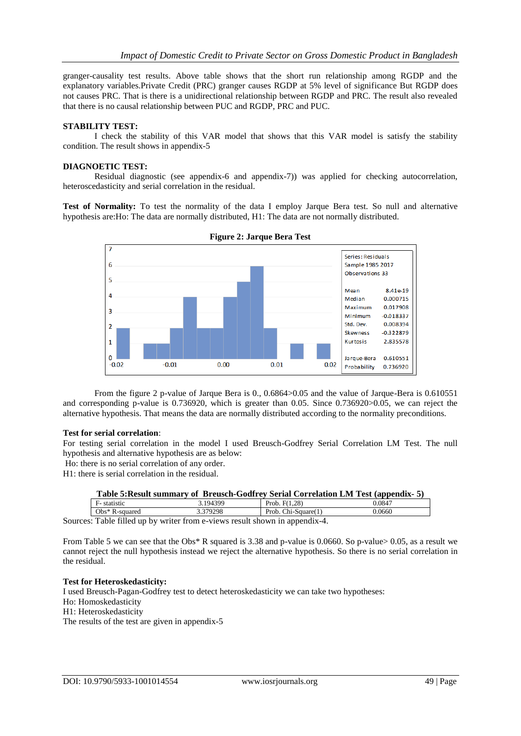granger-causality test results. Above table shows that the short run relationship among RGDP and the explanatory variables.Private Credit (PRC) granger causes RGDP at 5% level of significance But RGDP does not causes PRC. That is there is a unidirectional relationship between RGDP and PRC. The result also revealed that there is no causal relationship between PUC and RGDP, PRC and PUC.

#### **STABILITY TEST:**

I check the stability of this VAR model that shows that this VAR model is satisfy the stability condition. The result shows in appendix-5

#### **DIAGNOETIC TEST:**

Residual diagnostic (see appendix-6 and appendix-7)) was applied for checking autocorrelation, heteroscedasticity and serial correlation in the residual.

**Test of Normality:** To test the normality of the data I employ Jarque Bera test. So null and alternative hypothesis are:Ho: The data are normally distributed, H1: The data are not normally distributed.





From the figure 2 p-value of Jarque Bera is 0., 0.6864>0.05 and the value of Jarque-Bera is 0.610551 and corresponding p-value is 0.736920, which is greater than 0.05. Since 0.736920>0.05, we can reject the alternative hypothesis. That means the data are normally distributed according to the normality preconditions.

#### **Test for serial correlation**:

For testing serial correlation in the model I used Breusch-Godfrey Serial Correlation LM Test. The null hypothesis and alternative hypothesis are as below:

Ho: there is no serial correlation of any order.

H1: there is serial correlation in the residual.

| Table 5: Result summary of Breusch-Godfrey Serial Correlation LM Test (appendix-5) |          |                     |        |
|------------------------------------------------------------------------------------|----------|---------------------|--------|
| F- statistic                                                                       | 3.194399 | Prob. $F(1.28)$     | 0.0847 |
| $Obs^*$ R-squared                                                                  | 3.379298 | Prob. Chi-Square(1) | 0.0660 |

Sources: Table filled up by writer from e-views result shown in appendix-4.

From Table 5 we can see that the Obs\* R squared is 3.38 and p-value is 0.0660. So p-value > 0.05, as a result we cannot reject the null hypothesis instead we reject the alternative hypothesis. So there is no serial correlation in the residual.

## **Test for Heteroskedasticity:**

I used Breusch-Pagan-Godfrey test to detect heteroskedasticity we can take two hypotheses:

- Ho: Homoskedasticity
- H1: Heteroskedasticity

The results of the test are given in appendix-5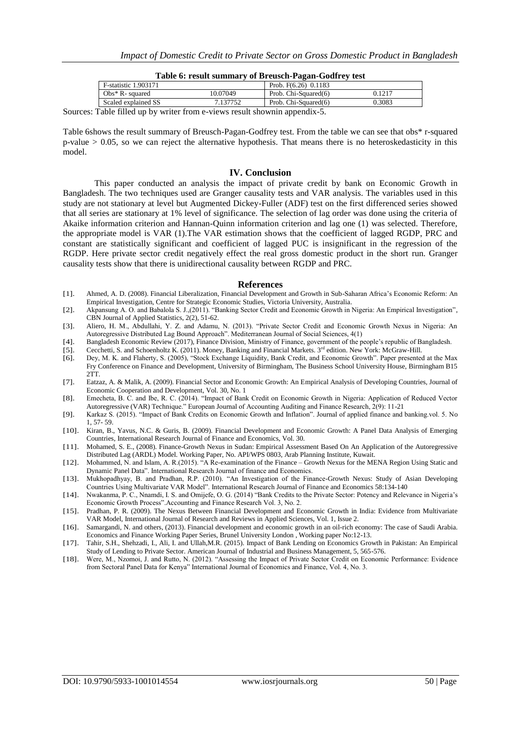| Table 6: result summary of Breusch-Pagan-Godfrey test |          |                        |        |  |  |  |
|-------------------------------------------------------|----------|------------------------|--------|--|--|--|
| <b>F-statistic 1.903171</b>                           |          | Prob. $F(6.26)$ 0.1183 |        |  |  |  |
| $Obs^*$ R-squared                                     | 10.07049 | Prob. Chi-Squared(6)   | 0.1217 |  |  |  |
| Scaled explained SS                                   | 7.137752 | Prob. Chi-Squared(6)   | 0.3083 |  |  |  |
|                                                       |          |                        |        |  |  |  |

Sources: Table filled up by writer from e-views result shownin appendix-5.

Table 6shows the result summary of Breusch-Pagan-Godfrey test. From the table we can see that obs\* r-squared  $p$ -value  $> 0.05$ , so we can reject the alternative hypothesis. That means there is no heteroskedasticity in this model.

#### **IV. Conclusion**

This paper conducted an analysis the impact of private credit by bank on Economic Growth in Bangladesh. The two techniques used are Granger causality tests and VAR analysis. The variables used in this study are not stationary at level but Augmented Dickey-Fuller (ADF) test on the first differenced series showed that all series are stationary at 1% level of significance. The selection of lag order was done using the criteria of Akaike information criterion and Hannan-Quinn information criterion and lag one (1) was selected. Therefore, the appropriate model is VAR (1).The VAR estimation shows that the coefficient of lagged RGDP, PRC and constant are statistically significant and coefficient of lagged PUC is insignificant in the regression of the RGDP. Here private sector credit negatively effect the real gross domestic product in the short run. Granger causality tests show that there is unidirectional causality between RGDP and PRC.

#### **References**

- [1]. Ahmed, A. D. (2008). Financial Liberalization, Financial Development and Growth in Sub-Saharan Africa's Economic Reform: An Empirical Investigation, Centre for Strategic Economic Studies, Victoria University, Australia.
- [2]. Akpansung A. O. and Babalola S. J.,(2011). "Banking Sector Credit and Economic Growth in Nigeria: An Empirical Investigation", CBN Journal of Applied Statistics, 2(2), 51-62.
- [3]. Aliero, H. M., Abdullahi, Y. Z. and Adamu, N. (2013). "Private Sector Credit and Economic Growth Nexus in Nigeria: An Autoregressive Distributed Lag Bound Approach". Mediterranean Journal of Social Sciences, 4(1)
- [4]. Bangladesh Economic Review (2017), Finance Division, Ministry of Finance, government of the people's republic of Bangladesh.
- [5]. Cecchetti, S. and Schoenholtz K. (2011). Money, Banking and Financial Markets. 3<sup>rd</sup> edition. New York: McGraw-Hill. [6]. Dey, M. K. and Flaherty, S. (2005), "Stock Exchange Liquidity, Bank Credit, and Economic Growth
- [6]. Dey, M. K. and Flaherty, S. (2005), "Stock Exchange Liquidity, Bank Credit, and Economic Growth". Paper presented at the Max Fry Conference on Finance and Development, University of Birmingham, The Business School University House, Birmingham B15 2TT.
- [7]. Eatzaz, A. & Malik, A. (2009). Financial Sector and Economic Growth: An Empirical Analysis of Developing Countries, Journal of Economic Cooperation and Development, Vol. 30, No. 1
- [8]. Emecheta, B. C. and Ibe, R. C. (2014). "Impact of Bank Credit on Economic Growth in Nigeria: Application of Reduced Vector Autoregressive (VAR) Technique." European Journal of Accounting Auditing and Finance Research, 2(9): 11-21
- [9]. Karkaz S. (2015). "Impact of Bank Credits on Economic Growth and Inflation". Journal of applied finance and banking.vol. 5. No 1, 57- 59.
- [10]. Kiran, B., Yavus, N.C. & Guris, B. (2009). Financial Development and Economic Growth: A Panel Data Analysis of Emerging Countries, International Research Journal of Finance and Economics, Vol. 30.
- [11]. Mohamed, S. E., (2008). Finance-Growth Nexus in Sudan: Empirical Assessment Based On An Application of the Autoregressive Distributed Lag (ARDL) Model. Working Paper, No. API/WPS 0803, Arab Planning Institute, Kuwait.
- [12]. Mohammed, N. and Islam, A. R.(2015). "A Re-examination of the Finance Growth Nexus for the MENA Region Using Static and Dynamic Panel Data". International Research Journal of finance and Economics.
- [13]. Mukhopadhyay, B. and Pradhan, R.P. (2010). "An Investigation of the Finance-Growth Nexus: Study of Asian Developing Countries Using Multivariate VAR Model". International Research Journal of Finance and Economics 58:134-140
- [14]. Nwakanma, P. C., Nnamdi, I. S. and Omijefe, O. G. (2014) "Bank Credits to the Private Sector: Potency and Relevance in Nigeria's Economic Growth Process".Accounting and Finance Research Vol. 3, No. 2.
- [15]. Pradhan, P. R. (2009). The Nexus Between Financial Development and Economic Growth in India: Evidence from Multivariate VAR Model, International Journal of Research and Reviews in Applied Sciences, Vol. 1, Issue 2.
- [16]. Samargandi, N. and others, (2013). Financial development and economic growth in an oil-rich economy: The case of Saudi Arabia. Economics and Finance Working Paper Series, Brunel University London , Working paper No:12-13.
- [17]. Tahir, S.H., Shehzadi, I., Ali, I. and Ullah,M.R. (2015). Impact of Bank Lending on Economics Growth in Pakistan: An Empirical Study of Lending to Private Sector. American Journal of Industrial and Business Management, 5, 565-576.
- [18]. Were, M., Nzomoi, J. and Rutto, N. (2012). "Assessing the Impact of Private Sector Credit on Economic Performance: Evidence from Sectoral Panel Data for Kenya" International Journal of Economics and Finance, Vol. 4, No. 3.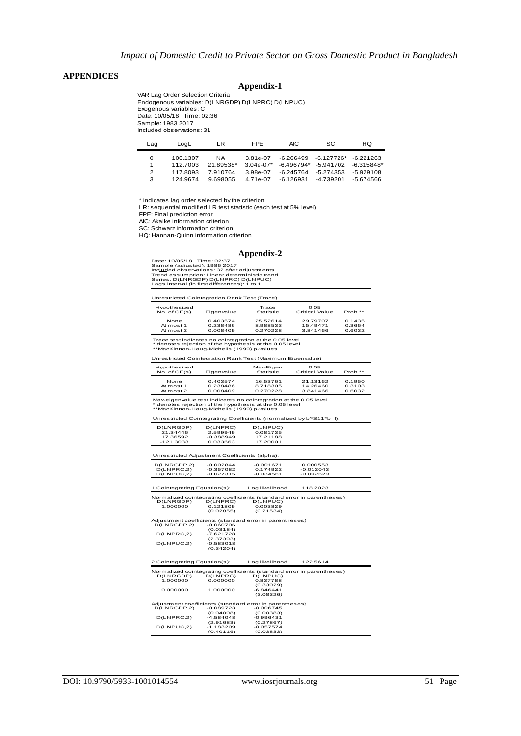## **APPENDICES**

# **Appendix-1**

VAR Lag Order Selection Criteria Endogenous variables: D(LNRGDP) D(LNPRC) D(LNPUC) Exogenous variables: C Date: 10/05/18 Time: 02:36 Sample: 1983 2017 Included observations: 31

| Laɑ | LoaL     | LR        | <b>FPE</b>  | AIC.         | SC.          | HQ.          |
|-----|----------|-----------|-------------|--------------|--------------|--------------|
| 0   | 100.1307 | ΝA        | 3.81e-07    | -6.266499    | $-6.127726*$ | $-6.221263$  |
|     | 112.7003 | 21.89538* | $3.04e-07*$ | $-6.496794*$ | $-5.941702$  | $-6.315848*$ |
| 2   | 1178093  | 7910764   | 3.98e-07    | $-6.245764$  | $-5.274353$  | $-5929108$   |
| 3   | 124 9674 | 9.698055  | 4.71e-07    | $-6.126931$  | $-4.739201$  | $-5.674566$  |

\* indicates lag order selected by the criterion

LR: sequential modified LR test statistic (each test at 5% level)

FPE: Final prediction error

AIC: Akaike information criterion

SC: Schwarz information criterion

HQ: Hannan-Quinn information criterion

#### **Appendix-2**

Date: 10/05/18 Time: 02:37<br>Sample (adjusted): 1986 2017<br>Included observations: 32 after adjustments<br>Trend assumption: Linear deterministic trend<br>Series: D(LNRGDP) D(LNPRC) D(LNPUC)<br>Lags interval (in first differences): 1 t

| Unrestricted Cointegration Rank Test (Trace) |                                  |                                  |                                  |                            |  |  |  |
|----------------------------------------------|----------------------------------|----------------------------------|----------------------------------|----------------------------|--|--|--|
| Hypothesized<br>No. of CE(s)                 | Eigenvalue                       | Trace<br><b>Statistic</b>        | 0.05<br>Critical Value           | Prob.**                    |  |  |  |
| None<br>At most 1<br>At most 2               | 0.403574<br>0.238486<br>0.008409 | 25.52614<br>8.988533<br>0.270228 | 29.79707<br>15.49471<br>3.841466 | 0.1435<br>0.3664<br>0.6032 |  |  |  |

Trace test indicates no cointegration at the 0.05 level \* denotes rejection of the hypothesis at the 0.05 level \*\*MacKinnon-Haug-Michelis (1999) p-values

Unrestricted Cointegration Rank Test (Maximum Eigenvalue)

| Hypothesized<br>No. of CE(s) | Eigenvalue | Max-Eigen<br><b>Statistic</b> | 0.05<br>Critical Value | Prob.** |
|------------------------------|------------|-------------------------------|------------------------|---------|
| None                         | 0.403574   | 16.53761                      | 21.13162               | 0.1950  |
| At most 1                    | 0.238486   | 8.718305                      | 14.26460               | 0.3103  |
| At most 2                    | 0.008409   | 0.270228                      | 3.841466               | 0.6032  |

Max-eigenvalue test indicates no cointegration at the 0.05 level<br>\* denotes rejection of the hypothesis at the 0.05 level<br>\*\*MacKinnon-Haug-Michelis (1999) p-values

Unrestricted Cointegrating Coefficients (normalized by b'\*S11\*b=I):

| D(LNRGDP) | D(LNPRC)    | D(LNPUC) |
|-----------|-------------|----------|
| 21.34446  | 2.599949    | 0.081735 |
| 17.36592  | $-0.388949$ | 17.21188 |
| -121.3033 | 0.033663    | 17.20001 |

Unrestricted Adjustment Coefficients (alpha):

| D(LNRGDP.2) | $-0.002844$ | -0.001671   | 0.000553    |  |
|-------------|-------------|-------------|-------------|--|
| D(LNPRC.2)  | $-0.357082$ | 0.174922    | $-0.012043$ |  |
| D(LNPUC, 2) | $-0.027315$ | $-0.034561$ | $-0.002629$ |  |

| 1 Cointegrating Equation(s):                                          |             | Log likelihood                                                        | 118,2023 |  |  |
|-----------------------------------------------------------------------|-------------|-----------------------------------------------------------------------|----------|--|--|
| Normalized cointegrating coefficients (standard error in parentheses) |             |                                                                       |          |  |  |
| D(LNRGDP)                                                             | D(LNPRC)    | D(LNPUC)                                                              |          |  |  |
| 1.000000                                                              | 0.121809    | 0.003829                                                              |          |  |  |
|                                                                       | (0.02855)   | (0.21534)                                                             |          |  |  |
|                                                                       |             |                                                                       |          |  |  |
|                                                                       |             | Adjustment coefficients (standard error in parentheses)               |          |  |  |
| D(LNRGDP, 2)                                                          | $-0.060706$ |                                                                       |          |  |  |
|                                                                       | (0.03184)   |                                                                       |          |  |  |
| D(LNPRC.2)                                                            | $-7.621728$ |                                                                       |          |  |  |
|                                                                       | (2.37393)   |                                                                       |          |  |  |
| D(LNPUC.2)                                                            | $-0.583018$ |                                                                       |          |  |  |
|                                                                       | (0.34204)   |                                                                       |          |  |  |
|                                                                       |             |                                                                       |          |  |  |
|                                                                       |             |                                                                       |          |  |  |
|                                                                       |             |                                                                       |          |  |  |
| 2 Cointegrating Equation(s):                                          |             | Log likelihood                                                        | 122.5614 |  |  |
|                                                                       |             |                                                                       |          |  |  |
|                                                                       |             | Normalized cointegrating coefficients (standard error in parentheses) |          |  |  |
| D(LNRGDP)                                                             | D(LNPRC)    | D(LNPUC)                                                              |          |  |  |
| 1.000000                                                              | 0.000000    | 0.837788                                                              |          |  |  |
|                                                                       |             | (0.33029)                                                             |          |  |  |
| 0.000000                                                              | 1.000000    | $-6.846441$                                                           |          |  |  |
|                                                                       |             | (3.08326)                                                             |          |  |  |
|                                                                       |             | Adjustment coefficients (standard error in parentheses)               |          |  |  |
| D(LNRGDP,2)                                                           | $-0.089723$ | $-0.006745$                                                           |          |  |  |
|                                                                       | (0.04008)   | (0.00383)                                                             |          |  |  |
| D(LNPRC.2)                                                            | $-4.584048$ | $-0.996431$                                                           |          |  |  |
|                                                                       | (2.91683)   | (0.27867)                                                             |          |  |  |
| D(LNPUC.2)                                                            | $-1.183209$ | $-0.057574$                                                           |          |  |  |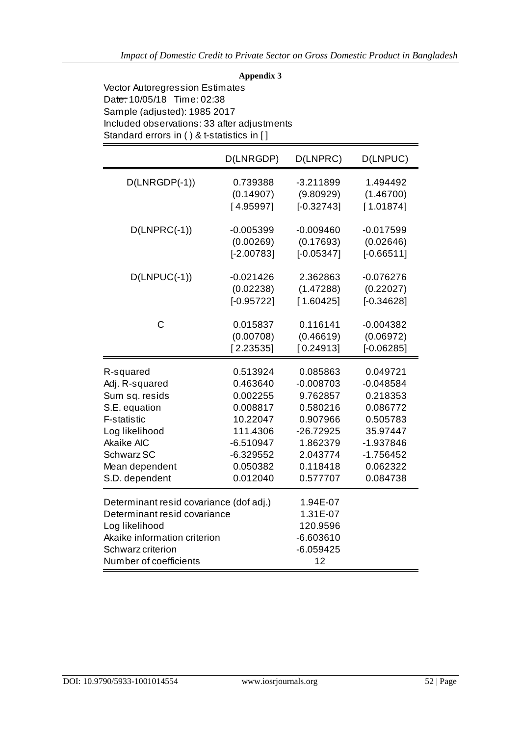# **Appendix 3**

Vector Autoregression Estimates Date: 10/05/18 Time: 02:38 Sample (adjusted): 1985 2017 Included observations: 33 after adjustments Standard errors in ( ) & t-statistics in [ ]

|                                                                                                                                                                          | D(LNRGDP)    | D(LNPRC)                                                             | D(LNPUC)     |
|--------------------------------------------------------------------------------------------------------------------------------------------------------------------------|--------------|----------------------------------------------------------------------|--------------|
| $D(LNRGDP(-1))$                                                                                                                                                          | 0.739388     | $-3.211899$                                                          | 1.494492     |
|                                                                                                                                                                          | (0.14907)    | (9.80929)                                                            | (1.46700)    |
|                                                                                                                                                                          | [4.95997]    | $[-0.32743]$                                                         | [1.01874]    |
| $D(LNPRC(-1))$                                                                                                                                                           | $-0.005399$  | $-0.009460$                                                          | $-0.017599$  |
|                                                                                                                                                                          | (0.00269)    | (0.17693)                                                            | (0.02646)    |
|                                                                                                                                                                          | $[-2.00783]$ | $[-0.05347]$                                                         | $[-0.66511]$ |
| $D(LNPUC(-1))$                                                                                                                                                           | $-0.021426$  | 2.362863                                                             | $-0.076276$  |
|                                                                                                                                                                          | (0.02238)    | (1.47288)                                                            | (0.22027)    |
|                                                                                                                                                                          | $[-0.95722]$ | [1.60425]                                                            | $[-0.34628]$ |
| C                                                                                                                                                                        | 0.015837     | 0.116141                                                             | $-0.004382$  |
|                                                                                                                                                                          | (0.00708)    | (0.46619)                                                            | (0.06972)    |
|                                                                                                                                                                          | [2.23535]    | [0.24913]                                                            | $[-0.06285]$ |
| R-squared                                                                                                                                                                | 0.513924     | 0.085863                                                             | 0.049721     |
| Adj. R-squared                                                                                                                                                           | 0.463640     | $-0.008703$                                                          | $-0.048584$  |
| Sum sq. resids                                                                                                                                                           | 0.002255     | 9.762857                                                             | 0.218353     |
| S.E. equation                                                                                                                                                            | 0.008817     | 0.580216                                                             | 0.086772     |
| F-statistic                                                                                                                                                              | 10.22047     | 0.907966                                                             | 0.505783     |
| Log likelihood                                                                                                                                                           | 111.4306     | $-26.72925$                                                          | 35.97447     |
| <b>Akaike AIC</b>                                                                                                                                                        | $-6.510947$  | 1.862379                                                             | $-1.937846$  |
| Schwarz SC                                                                                                                                                               | $-6.329552$  | 2.043774                                                             | $-1.756452$  |
| Mean dependent                                                                                                                                                           | 0.050382     | 0.118418                                                             | 0.062322     |
| S.D. dependent                                                                                                                                                           | 0.012040     | 0.577707                                                             | 0.084738     |
| Determinant resid covariance (dof adj.)<br>Determinant resid covariance<br>Log likelihood<br>Akaike information criterion<br>Schwarz criterion<br>Number of coefficients |              | 1.94E-07<br>1.31E-07<br>120.9596<br>$-6.603610$<br>$-6.059425$<br>12 |              |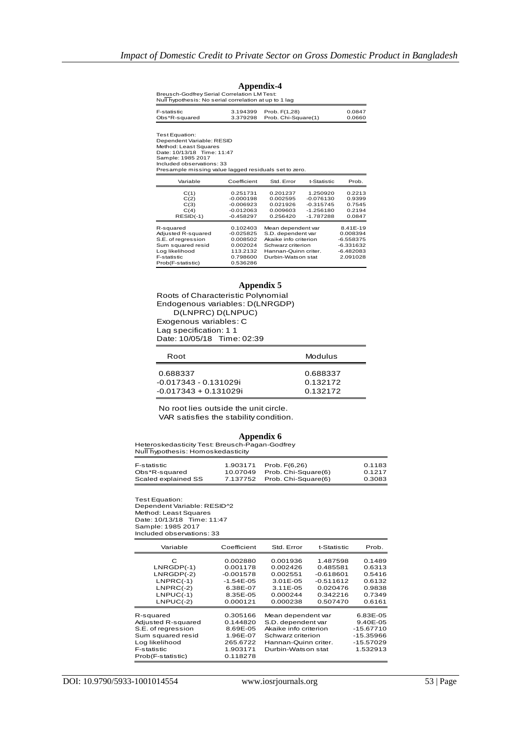| Breusch-Godfrey Serial Correlation LM Test:<br>Null hypothesis: No serial correlation at up to 1 lag                                                                                                          |                                                                                     |                                                                                                                                      |                                                                      |                                                                               |  |
|---------------------------------------------------------------------------------------------------------------------------------------------------------------------------------------------------------------|-------------------------------------------------------------------------------------|--------------------------------------------------------------------------------------------------------------------------------------|----------------------------------------------------------------------|-------------------------------------------------------------------------------|--|
| F-statistic<br>Obs*R-squared                                                                                                                                                                                  | 3.194399<br>3.379298                                                                | Prob. F(1.28)<br>Prob. Chi-Square(1)                                                                                                 |                                                                      | 0.0847<br>0.0660                                                              |  |
| Test Equation:<br>Dependent Variable: RESID<br>Method: Least Squares<br>Date: 10/13/18 Time: 11:47<br>Sample: 1985 2017<br>Included observations: 33<br>Presample missing value lagged residuals set to zero. |                                                                                     |                                                                                                                                      |                                                                      |                                                                               |  |
| Variable                                                                                                                                                                                                      | Coefficient                                                                         | Std. Error                                                                                                                           | t-Statistic                                                          | Prob.                                                                         |  |
| C(1)<br>C(2)<br>C(3)<br>C(4)<br>$RESID(-1)$                                                                                                                                                                   | 0.251731<br>$-0.000198$<br>$-0.006923$<br>$-0.012063$<br>$-0.458297$                | 0.201237<br>0.002595<br>0.021926<br>0.009603<br>0.256420                                                                             | 1.250920<br>$-0.076130$<br>$-0.315745$<br>$-1.256180$<br>$-1.787288$ | 0.2213<br>0.9399<br>0.7545<br>0.2194<br>0.0847                                |  |
| R-squared<br>Adjusted R-squared<br>S.E. of rearession<br>Sum squared resid<br>Log likelihood<br>F-statistic<br>Prob(F-statistic)                                                                              | 0.102403<br>$-0.025825$<br>0.008502<br>0.002024<br>113.2132<br>0.798600<br>0.536286 | Mean dependent var<br>S.D. dependent var<br>Akaike info criterion<br>Schwarz criterion<br>Hannan-Quinn criter.<br>Durbin-Watson stat |                                                                      | 8.41E-19<br>0.008394<br>$-6.558375$<br>$-6.331632$<br>$-6.482083$<br>2.091028 |  |

# **Appendix-4**

#### **Appendix 5**

Roots of Characteristic Polynomial Endogenous variables: D(LNRGDP) D(LNPRC) D(LNPUC) Exogenous variables: C Lag specification: 1 1 Date: 10/05/18 Time: 02:39

| Root                    | Modulus  |
|-------------------------|----------|
| 0.688337                | 0.688337 |
| -0.017343 - 0.131029i   | 0.132172 |
| $-0.017343 + 0.131029i$ | 0.132172 |

 No root lies outside the unit circle. VAR satisfies the stability condition.

#### **Appendix 6**

Heteroskedasticity Test: Breusch-Pagan-Godfrey Null hypothesis: Homoskedasticity

| F-statistic         | 1.903171 | Prob. F(6.26)                | 0.1183 |
|---------------------|----------|------------------------------|--------|
| Obs*R-squared       |          | 10.07049 Prob. Chi-Square(6) | 0.1217 |
| Scaled explained SS |          | 7.137752 Prob. Chi-Square(6) | 0.3083 |

Test Equation: Dependent Variable: RESID^2 Method: Least Squares Date: 10/13/18 Time: 11:47 Sample: 1985 2017 Included observations: 33

| Variable           | Coefficient | Std. Error            | t-Statistic | Prob.       |
|--------------------|-------------|-----------------------|-------------|-------------|
| С                  | 0.002880    | 0.001936              | 1.487598    | 0.1489      |
| $LNRGDP(-1)$       | 0.001178    | 0.002426              | 0.485581    | 0.6313      |
| $LNRGDP(-2)$       | $-0.001578$ | 0.002551              | $-0.618601$ | 0.5416      |
| $LNPRC(-1)$        | $-1.54E-05$ | $3.01E - 0.5$         | $-0.511612$ | 0.6132      |
| $LNPRC(-2)$        | 6.38E-07    | $3.11E - 0.5$         | 0.020476    | 0.9838      |
| $LNPUC(-1)$        | 8.35E-05    | 0.000244              | 0.342216    | 0.7349      |
| $LNPUC(-2)$        | 0.000121    | 0.000238              | 0.507470    | 0.6161      |
| R-squared          | 0.305166    | Mean dependent var    |             | 6.83E-05    |
| Adjusted R-squared | 0.144820    | S.D. dependent var    |             | 9.40E-05    |
| S.E. of rearession | 8.69E-05    | Akaike info criterion |             | $-15.67710$ |
| Sum squared resid  | 1.96E-07    | Schwarz criterion     |             | -15.35966   |
| Log likelihood     | 265.6722    | Hannan-Quinn criter.  |             | -15.57029   |
| F-statistic        | 1.903171    | Durbin-Watson stat    |             | 1.532913    |
| Prob(F-statistic)  | 0.118278    |                       |             |             |